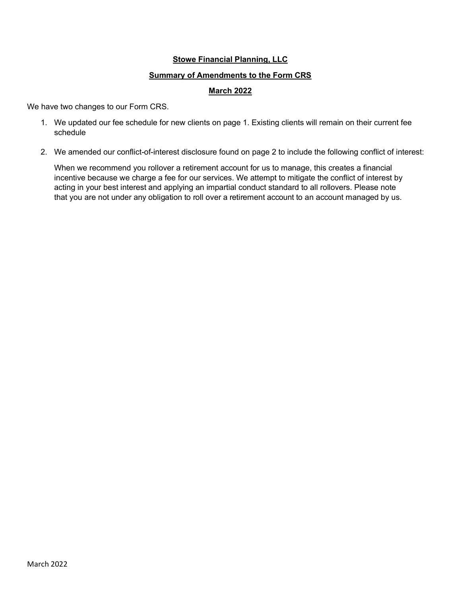## **Stowe Financial Planning, LLC**

#### Summary of Amendments to the Form CRS

## **March 2022**

We have two changes to our Form CRS.

- 1. We updated our fee schedule for new clients on page 1. Existing clients will remain on their current fee schedule
- 2. We amended our conflict-of-interest disclosure found on page 2 to include the following conflict of interest:

When we recommend you rollover a retirement account for us to manage, this creates a financial incentive because we charge a fee for our services. We attempt to mitigate the conflict of interest by acting in your best interest and applying an impartial conduct standard to all rollovers. Please note that you are not under any obligation to roll over a retirement account to an account managed by us.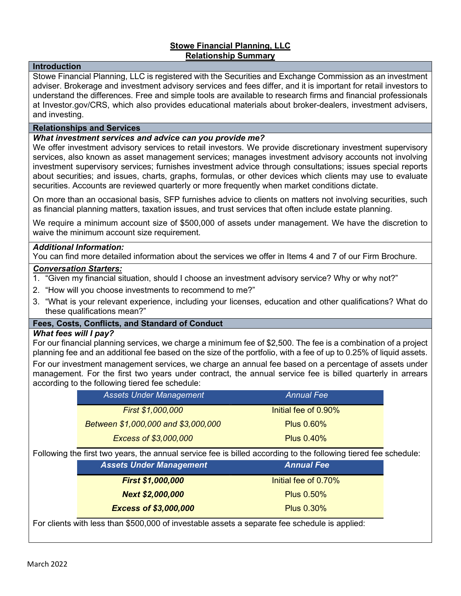## Stowe Financial Planning, LLC Relationship Summary

#### Introduction

Stowe Financial Planning, LLC is registered with the Securities and Exchange Commission as an investment adviser. Brokerage and investment advisory services and fees differ, and it is important for retail investors to understand the differences. Free and simple tools are available to research firms and financial professionals at Investor.gov/CRS, which also provides educational materials about broker-dealers, investment advisers, and investing.

#### Relationships and Services

### What investment services and advice can you provide me?

We offer investment advisory services to retail investors. We provide discretionary investment supervisory services, also known as asset management services; manages investment advisory accounts not involving investment supervisory services; furnishes investment advice through consultations; issues special reports about securities; and issues, charts, graphs, formulas, or other devices which clients may use to evaluate securities. Accounts are reviewed quarterly or more frequently when market conditions dictate.

On more than an occasional basis, SFP furnishes advice to clients on matters not involving securities, such as financial planning matters, taxation issues, and trust services that often include estate planning.

We require a minimum account size of \$500,000 of assets under management. We have the discretion to waive the minimum account size requirement.

#### Additional Information:

You can find more detailed information about the services we offer in Items 4 and 7 of our Firm Brochure.

## Conversation Starters:

- 1. "Given my financial situation, should I choose an investment advisory service? Why or why not?"
- 2. "How will you choose investments to recommend to me?"
- 3. "What is your relevant experience, including your licenses, education and other qualifications? What do these qualifications mean?"

## Fees, Costs, Conflicts, and Standard of Conduct

#### What fees will I pay?

For our financial planning services, we charge a minimum fee of \$2,500. The fee is a combination of a project planning fee and an additional fee based on the size of the portfolio, with a fee of up to 0.25% of liquid assets.

For our investment management services, we charge an annual fee based on a percentage of assets under management. For the first two years under contract, the annual service fee is billed quarterly in arrears according to the following tiered fee schedule:

| <b>Assets Under Management</b>                                                                                  | <b>Annual Fee</b>    |  |
|-----------------------------------------------------------------------------------------------------------------|----------------------|--|
| First \$1,000,000                                                                                               | Initial fee of 0.90% |  |
| Between \$1,000,000 and \$3,000,000                                                                             | <b>Plus 0.60%</b>    |  |
| Excess of \$3,000,000                                                                                           | <b>Plus 0.40%</b>    |  |
| Following the first two years, the annual service fee is billed according to the following tiered fee schedule: |                      |  |
| <b>Assets Under Management</b>                                                                                  | <b>Annual Fee</b>    |  |
| <b>First \$1,000,000</b>                                                                                        | Initial fee of 0.70% |  |
| <b>Next \$2,000,000</b>                                                                                         | <b>Plus 0.50%</b>    |  |
| <b>Excess of \$3,000,000</b>                                                                                    | <b>Plus 0.30%</b>    |  |
|                                                                                                                 |                      |  |

For clients with less than \$500,000 of investable assets a separate fee schedule is applied: